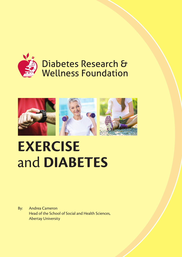

# Diabetes Research & **Wellness Foundation**



# **EXERCISE** and **DIABETES**

By: Andrea Cameron Head of the School of Social and Health Sciences, Abertay University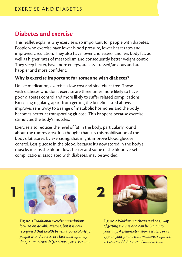## **Diabetes and exercise**

This leaflet explains why exercise is so important for people with diabetes. People who exercise have lower blood pressure, lower heart rates and improved circulation. They also have lower cholesterol and less body fat, as well as higher rates of metabolism and consequently better weight control. They sleep better, have more energy, are less stressed/anxious and are happier and more confident.

#### **Why is exercise important for someone with diabetes?**

Unlike medication, exercise is low cost and side-effect free. Those with diabetes who don't exercise are three times more likely to have poor diabetes control and more likely to suffer related complications. Exercising regularly, apart from getting the benefits listed above, improves sensitivity to a range of metabolic hormones and the body becomes better at transporting glucose. This happens because exercise stimulates the body's muscles.

Exercise also reduces the level of fat in the body, particularly round about the tummy area. It is thought that it is this mobilisation of the body's fat stores, by exercising, that might improve blood glucose control. Less glucose in the blood, because it's now stored in the body's muscle, means the blood flows better and some of the blood vessel complications, associated with diabetes, may be avoided.



**Figure 1** *Traditional exercise prescriptions focused on aerobic exercise, but it is now recognised that health benefits, particularly for people with diabetes, are best built upon by doing some strength (resistance) exercises too.*

**Figure 2** *Walking is a cheap and easy way of getting exercise and can be built into your day. A pedometer, sports watch, or an app on your phone that measures steps can act as an additional motivational tool.*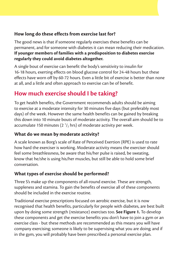#### **How long do these effects from exercise last for?**

The good news is that if someone regularly exercises these benefits can be permanent, and for someone with diabetes it can mean reducing their medication. **If younger members of families with a predisposition to diabetes exercise regularly they could avoid diabetes altogether.**

A single bout of exercise can benefit the body's sensitivity to insulin for 16-18 hours, exerting effects on blood glucose control for 24-48 hours but these effects have worn off by 60-72 hours. Even a little bit of exercise is better than none at all, and a little and often approach to exercise can be of benefit.

# **How much exercise should I be taking?**

To get health benefits, the Government recommends adults should be aiming to exercise at a moderate intensity for 30 minutes five days (but preferably most days) of the week. However the same health benefits can be gained by breaking this down into 10 minute bouts of moderate activity. The overall aim should be to accumulate 150 minutes (2  $\frac{1}{2}$  hrs) of moderate activity per week.

#### **What do we mean by moderate activity?**

A scale known as Borg's scale of Rate of Perceived Exertion (RPE) is used to rate how hard the exerciser is working. Moderate activity means the exerciser should feel some breathlessness, be aware that his/her pulse is raised, be sweating, know that he/she is using his/her muscles, but still be able to hold some brief conversation.

#### **What types of exercise should be performed?**

Three S's make up the components of all-round exercise. These are strength, suppleness and stamina. To gain the benefits of exercise all of these components should be included in the exercise routine.

Traditional exercise prescriptions focused on aerobic exercise, but it is now recognised that health benefits, particularly for people with diabetes, are best built upon by doing some strength (resistance) exercises too. **See Figure 1.** To develop these components and get the exercise benefits you don't have to join a gym or an exercise class - but these methods are recommended as this means you will have company exercising; someone is likely to be supervising what you are doing; and if in the gym, you will probably have been prescribed a personal exercise plan.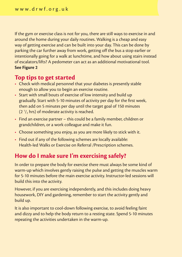If the gym or exercise class is not for you, there are still ways to exercise in and around the home during your daily routines. Walking is a cheap and easy way of getting exercise and can be built into your day. This can be done by parking the car further away from work, getting off the bus a stop earlier or intentionally going for a walk at lunchtime, and how about using stairs instead of escalators/lifts? A pedometer can act as an additional motivational tool. **See Figure 2**

## **Top tips to get started**

- Check with medical personnel that your diabetes is presently stable enough to allow you to begin an exercise routine.
- Start with small bouts of exercise of low intensity and build up gradually. Start with 5-10 minutes of activity per day for the first week, then add on 5 minutes per day until the target goal of 150 minutes  $(2<sup>1</sup>/<sub>2</sub>$  hrs) of moderate activity is reached.
- Find an exercise partner this could be a family member, children or grandchildren, or a work colleague and make it fun.
- Choose something you enjoy, as you are more likely to stick with it.
- Find out if any of the following schemes are locally available: Health-led Walks or Exercise on Referral /Prescription schemes.

# **How do I make sure I'm exercising safely?**

In order to prepare the body for exercise there must always be some kind of warm-up which involves gently raising the pulse and getting the muscles warm for 5-10 minutes before the main exercise activity. Instructor-led sessions will build this into the activity.

However, if you are exercising independently, and this includes doing heavy housework, DIY and gardening, remember to start the activity gently and build up.

It is also important to cool-down following exercise, to avoid feeling faint and dizzy and to help the body return to a resting state. Spend 5-10 minutes repeating the activities undertaken in the warm-up.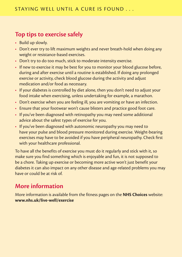# **Top tips to exercise safely**

- Build up slowly.
- Don't ever try to lift maximum weights and never breath-hold when doing any weight or resistance-based exercises.
- Don't try to do too much, stick to moderate intensity exercise.
- If new to exercise it may be best for you to monitor your blood glucose before, during and after exercise until a routine is established. If doing any prolonged exercise or activity, check blood glucose during the activity and adjust medication and/or food as necessary.
- If your diabetes is controlled by diet alone, then you don't need to adjust your food intake when exercising, unless undertaking for example, a marathon.
- Don't exercise when you are feeling ill, you are vomiting or have an infection.
- Ensure that your footwear won't cause blisters and practice good foot care.
- If you've been diagnosed with retinopathy you may need some additional advice about the safest types of exercise for you.
- If you've been diagnosed with autonomic neuropathy you may need to have your pulse and blood pressure monitored during exercise. Weight-bearing exercises may have to be avoided if you have peripheral neuropathy. Check first with your healthcare professional.

To have all the benefits of exercise you must do it regularly and stick with it, so make sure you find something which is enjoyable and fun, it is not supposed to be a chore. Taking up exercise or becoming more active won't just benefit your diabetes it can also impact on any other disease and age-related problems you may have or could be at risk of.

# **More information**

More information is available from the fitness pages on the **NHS Choices** website: **www.nhs.uk/live-well/exercise**